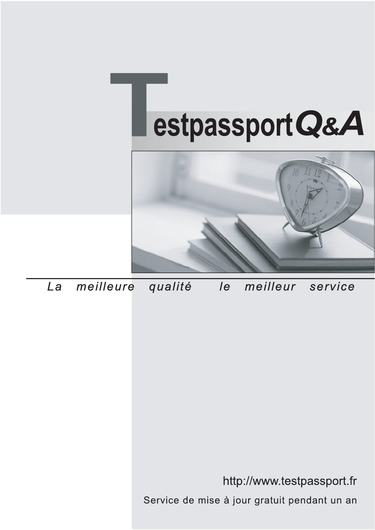



meilleure La qualité  $\overline{e}$ meilleur service

http://www.testpassport.fr

Service de mise à jour gratuit pendant un an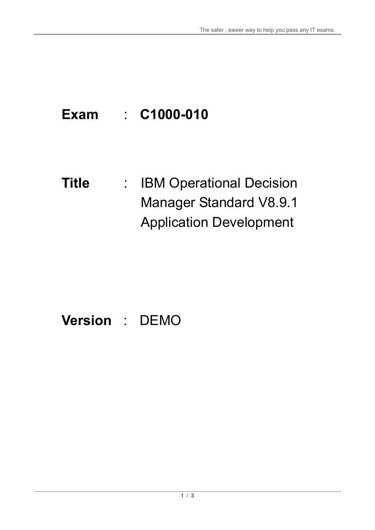# **Exam** : **C1000-010**

**Title** : **IBM Operational Decision** Manager Standard V8.9.1 Application Development

# **Version** : DEMO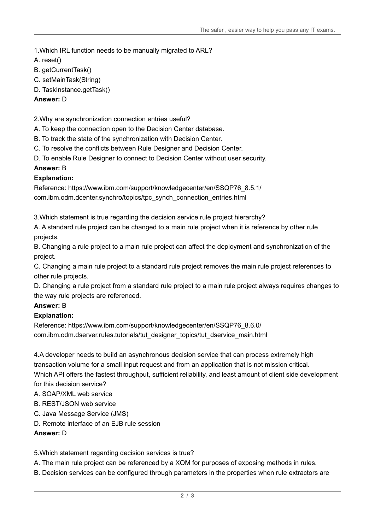1.Which IRL function needs to be manually migrated to ARL?

- A. reset()
- B. getCurrentTask()
- C. setMainTask(String)
- D. TaskInstance.getTask()

### **Answer:** D

2.Why are synchronization connection entries useful?

- A. To keep the connection open to the Decision Center database.
- B. To track the state of the synchronization with Decision Center.
- C. To resolve the conflicts between Rule Designer and Decision Center.
- D. To enable Rule Designer to connect to Decision Center without user security.

# **Answer:** B

# **Explanation:**

Reference: https://www.ibm.com/support/knowledgecenter/en/SSQP76\_8.5.1/ com.ibm.odm.dcenter.synchro/topics/tpc\_synch\_connection\_entries.html

3.Which statement is true regarding the decision service rule project hierarchy?

A. A standard rule project can be changed to a main rule project when it is reference by other rule projects.

B. Changing a rule project to a main rule project can affect the deployment and synchronization of the project.

C. Changing a main rule project to a standard rule project removes the main rule project references to other rule projects.

D. Changing a rule project from a standard rule project to a main rule project always requires changes to the way rule projects are referenced.

# **Answer:** B

#### **Explanation:**

Reference: https://www.ibm.com/support/knowledgecenter/en/SSQP76\_8.6.0/ com.ibm.odm.dserver.rules.tutorials/tut\_designer\_topics/tut\_dservice\_main.html

4.A developer needs to build an asynchronous decision service that can process extremely high transaction volume for a small input request and from an application that is not mission critical. Which API offers the fastest throughput, sufficient reliability, and least amount of client side development

for this decision service?

- A. SOAP/XML web service
- B. REST/JSON web service
- C. Java Message Service (JMS)
- D. Remote interface of an EJB rule session

#### **Answer:** D

#### 5.Which statement regarding decision services is true?

A. The main rule project can be referenced by a XOM for purposes of exposing methods in rules.

B. Decision services can be configured through parameters in the properties when rule extractors are